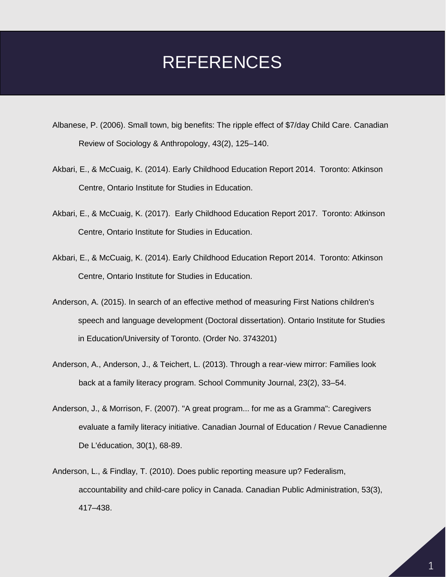## REFERENCES

- Albanese, P. (2006). Small town, big benefits: The ripple effect of \$7/day Child Care. Canadian Review of Sociology & Anthropology, 43(2), 125–140.
- Akbari, E., & McCuaig, K. (2014). Early Childhood Education Report 2014. Toronto: Atkinson Centre, Ontario Institute for Studies in Education.
- Akbari, E., & McCuaig, K. (2017). Early Childhood Education Report 2017. Toronto: Atkinson Centre, Ontario Institute for Studies in Education.
- Akbari, E., & McCuaig, K. (2014). Early Childhood Education Report 2014. Toronto: Atkinson Centre, Ontario Institute for Studies in Education.
- Anderson, A. (2015). In search of an effective method of measuring First Nations children's speech and language development (Doctoral dissertation). Ontario Institute for Studies in Education/University of Toronto. (Order No. 3743201)
- Anderson, A., Anderson, J., & Teichert, L. (2013). Through a rear-view mirror: Families look back at a family literacy program. School Community Journal, 23(2), 33–54.
- Anderson, J., & Morrison, F. (2007). "A great program... for me as a Gramma": Caregivers evaluate a family literacy initiative. Canadian Journal of Education / Revue Canadienne De L'éducation, 30(1), 68-89.
- Anderson, L., & Findlay, T. (2010). Does public reporting measure up? Federalism, accountability and child-care policy in Canada. Canadian Public Administration, 53(3), 417–438.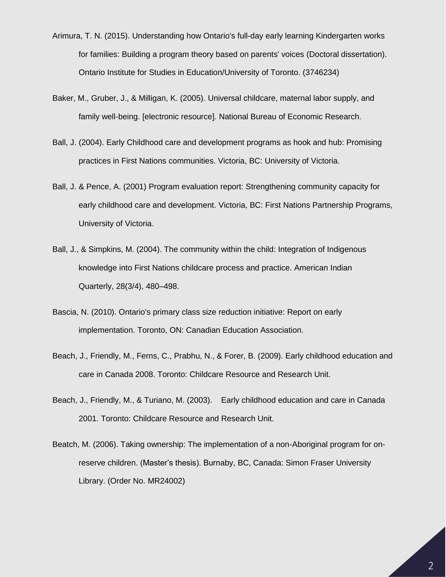- Arimura, T. N. (2015). Understanding how Ontario's full-day early learning Kindergarten works for families: Building a program theory based on parents' voices (Doctoral dissertation). Ontario Institute for Studies in Education/University of Toronto. (3746234)
- Baker, M., Gruber, J., & Milligan, K. (2005). Universal childcare, maternal labor supply, and family well-being. [electronic resource]. National Bureau of Economic Research.
- Ball, J. (2004). Early Childhood care and development programs as hook and hub: Promising practices in First Nations communities. Victoria, BC: University of Victoria.
- Ball, J. & Pence, A. (2001) Program evaluation report: Strengthening community capacity for early childhood care and development. Victoria, BC: First Nations Partnership Programs, University of Victoria.
- Ball, J., & Simpkins, M. (2004). The community within the child: Integration of Indigenous knowledge into First Nations childcare process and practice. American Indian Quarterly, 28(3/4), 480–498.
- Bascia, N. (2010). Ontario's primary class size reduction initiative: Report on early implementation. Toronto, ON: Canadian Education Association.
- Beach, J., Friendly, M., Ferns, C., Prabhu, N., & Forer, B. (2009). Early childhood education and care in Canada 2008. Toronto: Childcare Resource and Research Unit.
- Beach, J., Friendly, M., & Turiano, M. (2003). Early childhood education and care in Canada 2001. Toronto: Childcare Resource and Research Unit.
- Beatch, M. (2006). Taking ownership: The implementation of a non-Aboriginal program for onreserve children. (Master's thesis). Burnaby, BC, Canada: Simon Fraser University Library. (Order No. MR24002)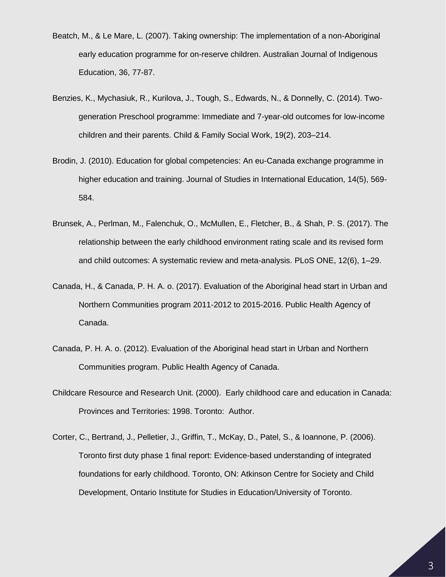- Beatch, M., & Le Mare, L. (2007). Taking ownership: The implementation of a non-Aboriginal early education programme for on-reserve children. Australian Journal of Indigenous Education, 36, 77-87.
- Benzies, K., Mychasiuk, R., Kurilova, J., Tough, S., Edwards, N., & Donnelly, C. (2014). Twogeneration Preschool programme: Immediate and 7-year-old outcomes for low-income children and their parents. Child & Family Social Work, 19(2), 203–214.
- Brodin, J. (2010). Education for global competencies: An eu-Canada exchange programme in higher education and training. Journal of Studies in International Education, 14(5), 569- 584.
- Brunsek, A., Perlman, M., Falenchuk, O., McMullen, E., Fletcher, B., & Shah, P. S. (2017). The relationship between the early childhood environment rating scale and its revised form and child outcomes: A systematic review and meta-analysis. PLoS ONE, 12(6), 1–29.
- Canada, H., & Canada, P. H. A. o. (2017). Evaluation of the Aboriginal head start in Urban and Northern Communities program 2011-2012 to 2015-2016. Public Health Agency of Canada.
- Canada, P. H. A. o. (2012). Evaluation of the Aboriginal head start in Urban and Northern Communities program. Public Health Agency of Canada.
- Childcare Resource and Research Unit. (2000). Early childhood care and education in Canada: Provinces and Territories: 1998. Toronto: Author.
- Corter, C., Bertrand, J., Pelletier, J., Griffin, T., McKay, D., Patel, S., & Ioannone, P. (2006). Toronto first duty phase 1 final report: Evidence-based understanding of integrated foundations for early childhood. Toronto, ON: Atkinson Centre for Society and Child Development, Ontario Institute for Studies in Education/University of Toronto.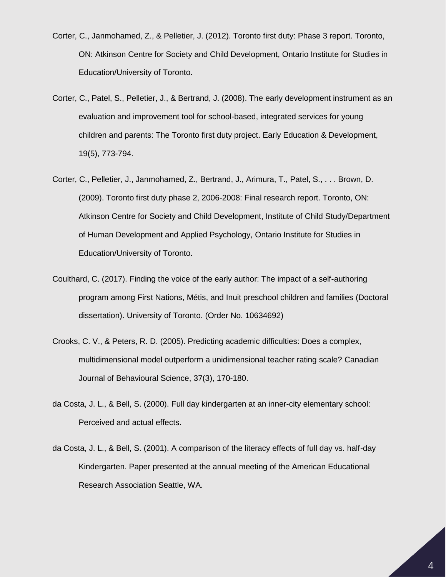- Corter, C., Janmohamed, Z., & Pelletier, J. (2012). Toronto first duty: Phase 3 report. Toronto, ON: Atkinson Centre for Society and Child Development, Ontario Institute for Studies in Education/University of Toronto.
- Corter, C., Patel, S., Pelletier, J., & Bertrand, J. (2008). The early development instrument as an evaluation and improvement tool for school-based, integrated services for young children and parents: The Toronto first duty project. Early Education & Development, 19(5), 773-794.
- Corter, C., Pelletier, J., Janmohamed, Z., Bertrand, J., Arimura, T., Patel, S., . . . Brown, D. (2009). Toronto first duty phase 2, 2006-2008: Final research report. Toronto, ON: Atkinson Centre for Society and Child Development, Institute of Child Study/Department of Human Development and Applied Psychology, Ontario Institute for Studies in Education/University of Toronto.
- Coulthard, C. (2017). Finding the voice of the early author: The impact of a self-authoring program among First Nations, Métis, and Inuit preschool children and families (Doctoral dissertation). University of Toronto. (Order No. 10634692)
- Crooks, C. V., & Peters, R. D. (2005). Predicting academic difficulties: Does a complex, multidimensional model outperform a unidimensional teacher rating scale? Canadian Journal of Behavioural Science, 37(3), 170-180.
- da Costa, J. L., & Bell, S. (2000). Full day kindergarten at an inner-city elementary school: Perceived and actual effects.
- da Costa, J. L., & Bell, S. (2001). A comparison of the literacy effects of full day vs. half-day Kindergarten. Paper presented at the annual meeting of the American Educational Research Association Seattle, WA.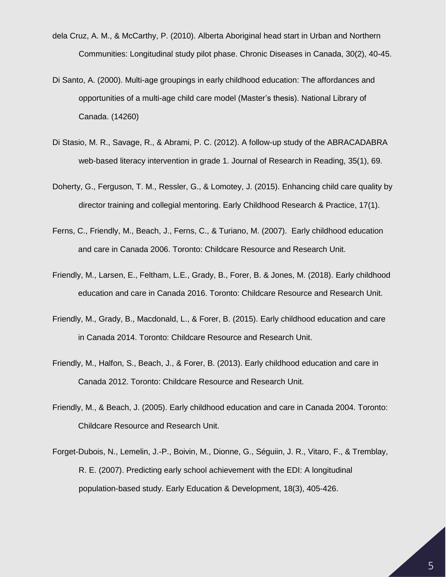- dela Cruz, A. M., & McCarthy, P. (2010). Alberta Aboriginal head start in Urban and Northern Communities: Longitudinal study pilot phase. Chronic Diseases in Canada, 30(2), 40-45.
- Di Santo, A. (2000). Multi-age groupings in early childhood education: The affordances and opportunities of a multi-age child care model (Master's thesis). National Library of Canada. (14260)
- Di Stasio, M. R., Savage, R., & Abrami, P. C. (2012). A follow-up study of the ABRACADABRA web-based literacy intervention in grade 1. Journal of Research in Reading, 35(1), 69.
- Doherty, G., Ferguson, T. M., Ressler, G., & Lomotey, J. (2015). Enhancing child care quality by director training and collegial mentoring. Early Childhood Research & Practice, 17(1).
- Ferns, C., Friendly, M., Beach, J., Ferns, C., & Turiano, M. (2007). Early childhood education and care in Canada 2006. Toronto: Childcare Resource and Research Unit.
- Friendly, M., Larsen, E., Feltham, L.E., Grady, B., Forer, B. & Jones, M. (2018). Early childhood education and care in Canada 2016. Toronto: Childcare Resource and Research Unit.
- Friendly, M., Grady, B., Macdonald, L., & Forer, B. (2015). Early childhood education and care in Canada 2014. Toronto: Childcare Resource and Research Unit.
- Friendly, M., Halfon, S., Beach, J., & Forer, B. (2013). Early childhood education and care in Canada 2012. Toronto: Childcare Resource and Research Unit.
- Friendly, M., & Beach, J. (2005). Early childhood education and care in Canada 2004. Toronto: Childcare Resource and Research Unit.
- Forget-Dubois, N., Lemelin, J.-P., Boivin, M., Dionne, G., Séguiin, J. R., Vitaro, F., & Tremblay, R. E. (2007). Predicting early school achievement with the EDI: A longitudinal population-based study. Early Education & Development, 18(3), 405-426.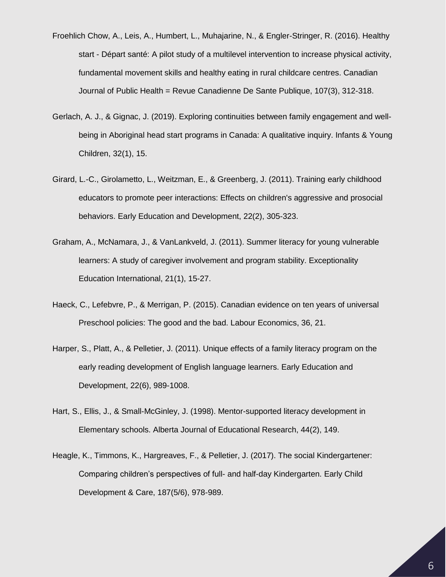- Froehlich Chow, A., Leis, A., Humbert, L., Muhajarine, N., & Engler-Stringer, R. (2016). Healthy start - Départ santé: A pilot study of a multilevel intervention to increase physical activity, fundamental movement skills and healthy eating in rural childcare centres. Canadian Journal of Public Health = Revue Canadienne De Sante Publique, 107(3), 312-318.
- Gerlach, A. J., & Gignac, J. (2019). Exploring continuities between family engagement and wellbeing in Aboriginal head start programs in Canada: A qualitative inquiry. Infants & Young Children, 32(1), 15.
- Girard, L.-C., Girolametto, L., Weitzman, E., & Greenberg, J. (2011). Training early childhood educators to promote peer interactions: Effects on children's aggressive and prosocial behaviors. Early Education and Development, 22(2), 305-323.
- Graham, A., McNamara, J., & VanLankveld, J. (2011). Summer literacy for young vulnerable learners: A study of caregiver involvement and program stability. Exceptionality Education International, 21(1), 15-27.
- Haeck, C., Lefebvre, P., & Merrigan, P. (2015). Canadian evidence on ten years of universal Preschool policies: The good and the bad. Labour Economics, 36, 21.
- Harper, S., Platt, A., & Pelletier, J. (2011). Unique effects of a family literacy program on the early reading development of English language learners. Early Education and Development, 22(6), 989-1008.
- Hart, S., Ellis, J., & Small-McGinley, J. (1998). Mentor-supported literacy development in Elementary schools. Alberta Journal of Educational Research, 44(2), 149.
- Heagle, K., Timmons, K., Hargreaves, F., & Pelletier, J. (2017). The social Kindergartener: Comparing children's perspectives of full- and half-day Kindergarten. Early Child Development & Care, 187(5/6), 978-989.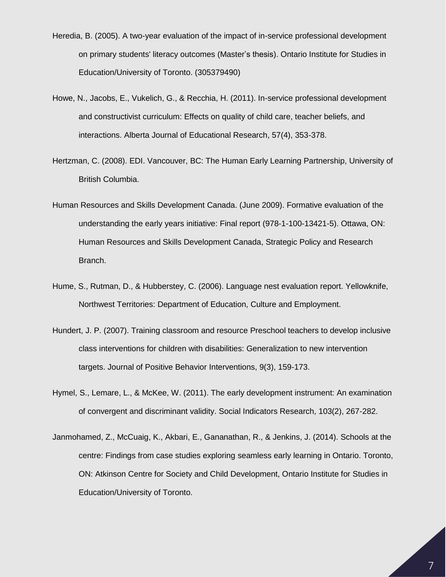- Heredia, B. (2005). A two-year evaluation of the impact of in-service professional development on primary students' literacy outcomes (Master's thesis). Ontario Institute for Studies in Education/University of Toronto. (305379490)
- Howe, N., Jacobs, E., Vukelich, G., & Recchia, H. (2011). In-service professional development and constructivist curriculum: Effects on quality of child care, teacher beliefs, and interactions. Alberta Journal of Educational Research, 57(4), 353-378.
- Hertzman, C. (2008). EDI. Vancouver, BC: The Human Early Learning Partnership, University of British Columbia.
- Human Resources and Skills Development Canada. (June 2009). Formative evaluation of the understanding the early years initiative: Final report (978-1-100-13421-5). Ottawa, ON: Human Resources and Skills Development Canada, Strategic Policy and Research Branch.
- Hume, S., Rutman, D., & Hubberstey, C. (2006). Language nest evaluation report. Yellowknife, Northwest Territories: Department of Education, Culture and Employment.
- Hundert, J. P. (2007). Training classroom and resource Preschool teachers to develop inclusive class interventions for children with disabilities: Generalization to new intervention targets. Journal of Positive Behavior Interventions, 9(3), 159-173.
- Hymel, S., Lemare, L., & McKee, W. (2011). The early development instrument: An examination of convergent and discriminant validity. Social Indicators Research, 103(2), 267-282.
- Janmohamed, Z., McCuaig, K., Akbari, E., Gananathan, R., & Jenkins, J. (2014). Schools at the centre: Findings from case studies exploring seamless early learning in Ontario. Toronto, ON: Atkinson Centre for Society and Child Development, Ontario Institute for Studies in Education/University of Toronto.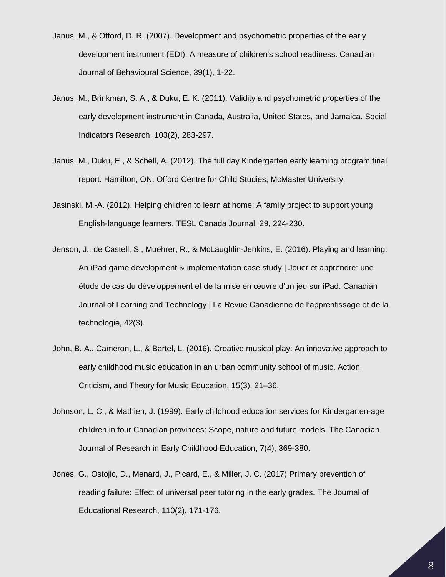- Janus, M., & Offord, D. R. (2007). Development and psychometric properties of the early development instrument (EDI): A measure of children's school readiness. Canadian Journal of Behavioural Science, 39(1), 1-22.
- Janus, M., Brinkman, S. A., & Duku, E. K. (2011). Validity and psychometric properties of the early development instrument in Canada, Australia, United States, and Jamaica. Social Indicators Research, 103(2), 283-297.
- Janus, M., Duku, E., & Schell, A. (2012). The full day Kindergarten early learning program final report. Hamilton, ON: Offord Centre for Child Studies, McMaster University.
- Jasinski, M.-A. (2012). Helping children to learn at home: A family project to support young English-language learners. TESL Canada Journal, 29, 224-230.
- Jenson, J., de Castell, S., Muehrer, R., & McLaughlin-Jenkins, E. (2016). Playing and learning: An iPad game development & implementation case study | Jouer et apprendre: une étude de cas du développement et de la mise en œuvre d'un jeu sur iPad. Canadian Journal of Learning and Technology | La Revue Canadienne de l'apprentissage et de la technologie, 42(3).
- John, B. A., Cameron, L., & Bartel, L. (2016). Creative musical play: An innovative approach to early childhood music education in an urban community school of music. Action, Criticism, and Theory for Music Education, 15(3), 21–36.
- Johnson, L. C., & Mathien, J. (1999). Early childhood education services for Kindergarten-age children in four Canadian provinces: Scope, nature and future models. The Canadian Journal of Research in Early Childhood Education, 7(4), 369-380.
- Jones, G., Ostojic, D., Menard, J., Picard, E., & Miller, J. C. (2017) Primary prevention of reading failure: Effect of universal peer tutoring in the early grades. The Journal of Educational Research, 110(2), 171-176.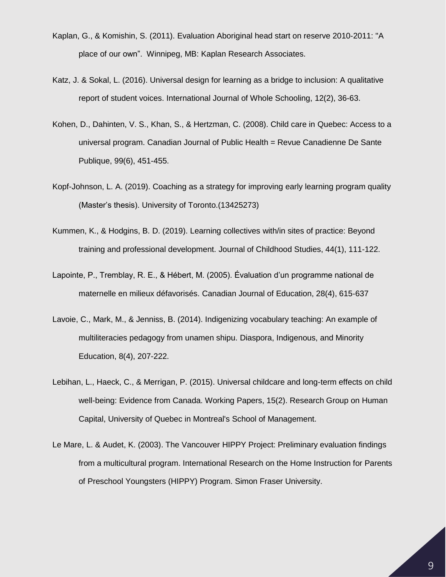- Kaplan, G., & Komishin, S. (2011). Evaluation Aboriginal head start on reserve 2010-2011: "A place of our own". Winnipeg, MB: Kaplan Research Associates.
- Katz, J. & Sokal, L. (2016). Universal design for learning as a bridge to inclusion: A qualitative report of student voices. International Journal of Whole Schooling, 12(2), 36-63.
- Kohen, D., Dahinten, V. S., Khan, S., & Hertzman, C. (2008). Child care in Quebec: Access to a universal program. Canadian Journal of Public Health = Revue Canadienne De Sante Publique, 99(6), 451-455.
- Kopf-Johnson, L. A. (2019). Coaching as a strategy for improving early learning program quality (Master's thesis). University of Toronto.(13425273)
- Kummen, K., & Hodgins, B. D. (2019). Learning collectives with/in sites of practice: Beyond training and professional development. Journal of Childhood Studies, 44(1), 111-122.
- Lapointe, P., Tremblay, R. E., & Hébert, M. (2005). Évaluation d'un programme national de maternelle en milieux défavorisés. Canadian Journal of Education, 28(4), 615‐637
- Lavoie, C., Mark, M., & Jenniss, B. (2014). Indigenizing vocabulary teaching: An example of multiliteracies pedagogy from unamen shipu. Diaspora, Indigenous, and Minority Education, 8(4), 207-222.
- Lebihan, L., Haeck, C., & Merrigan, P. (2015). Universal childcare and long-term effects on child well-being: Evidence from Canada. Working Papers, 15(2). Research Group on Human Capital, University of Quebec in Montreal's School of Management.
- Le Mare, L. & Audet, K. (2003). The Vancouver HIPPY Project: Preliminary evaluation findings from a multicultural program. International Research on the Home Instruction for Parents of Preschool Youngsters (HIPPY) Program. Simon Fraser University.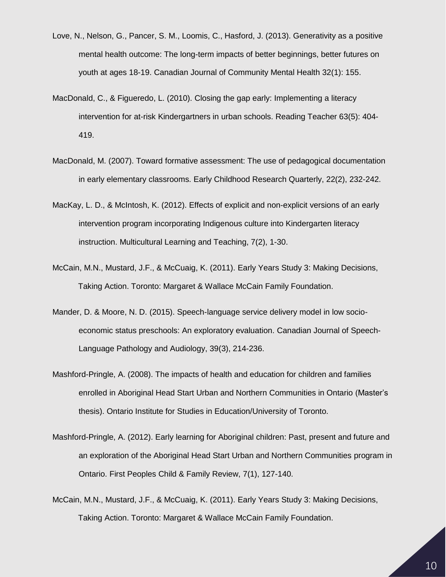- Love, N., Nelson, G., Pancer, S. M., Loomis, C., Hasford, J. (2013). Generativity as a positive mental health outcome: The long-term impacts of better beginnings, better futures on youth at ages 18-19. Canadian Journal of Community Mental Health 32(1): 155.
- MacDonald, C., & Figueredo, L. (2010). Closing the gap early: Implementing a literacy intervention for at-risk Kindergartners in urban schools. Reading Teacher 63(5): 404- 419.
- MacDonald, M. (2007). Toward formative assessment: The use of pedagogical documentation in early elementary classrooms. Early Childhood Research Quarterly, 22(2), 232-242.
- MacKay, L. D., & McIntosh, K. (2012). Effects of explicit and non-explicit versions of an early intervention program incorporating Indigenous culture into Kindergarten literacy instruction. Multicultural Learning and Teaching, 7(2), 1-30.
- McCain, M.N., Mustard, J.F., & McCuaig, K. (2011). Early Years Study 3: Making Decisions, Taking Action. Toronto: Margaret & Wallace McCain Family Foundation.
- Mander, D. & Moore, N. D. (2015). Speech-language service delivery model in low socioeconomic status preschools: An exploratory evaluation. Canadian Journal of Speech-Language Pathology and Audiology, 39(3), 214-236.
- Mashford-Pringle, A. (2008). The impacts of health and education for children and families enrolled in Aboriginal Head Start Urban and Northern Communities in Ontario (Master's thesis). Ontario Institute for Studies in Education/University of Toronto.
- Mashford-Pringle, A. (2012). Early learning for Aboriginal children: Past, present and future and an exploration of the Aboriginal Head Start Urban and Northern Communities program in Ontario. First Peoples Child & Family Review, 7(1), 127-140.
- McCain, M.N., Mustard, J.F., & McCuaig, K. (2011). Early Years Study 3: Making Decisions, Taking Action. Toronto: Margaret & Wallace McCain Family Foundation.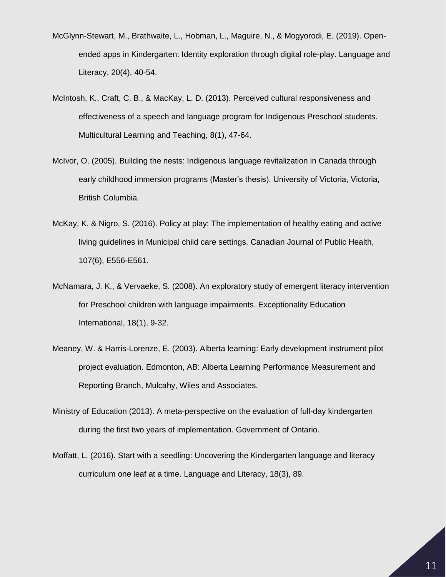- McGlynn-Stewart, M., Brathwaite, L., Hobman, L., Maguire, N., & Mogyorodi, E. (2019). Openended apps in Kindergarten: Identity exploration through digital role-play. Language and Literacy, 20(4), 40-54.
- McIntosh, K., Craft, C. B., & MacKay, L. D. (2013). Perceived cultural responsiveness and effectiveness of a speech and language program for Indigenous Preschool students. Multicultural Learning and Teaching, 8(1), 47-64.
- McIvor, O. (2005). Building the nests: Indigenous language revitalization in Canada through early childhood immersion programs (Master's thesis). University of Victoria, Victoria, British Columbia.
- McKay, K. & Nigro, S. (2016). Policy at play: The implementation of healthy eating and active living guidelines in Municipal child care settings. Canadian Journal of Public Health, 107(6), E556-E561.
- McNamara, J. K., & Vervaeke, S. (2008). An exploratory study of emergent literacy intervention for Preschool children with language impairments. Exceptionality Education International, 18(1), 9-32.
- Meaney, W. & Harris-Lorenze, E. (2003). Alberta learning: Early development instrument pilot project evaluation. Edmonton, AB: Alberta Learning Performance Measurement and Reporting Branch, Mulcahy, Wiles and Associates.
- Ministry of Education (2013). A meta-perspective on the evaluation of full-day kindergarten during the first two years of implementation. Government of Ontario.
- Moffatt, L. (2016). Start with a seedling: Uncovering the Kindergarten language and literacy curriculum one leaf at a time. Language and Literacy, 18(3), 89.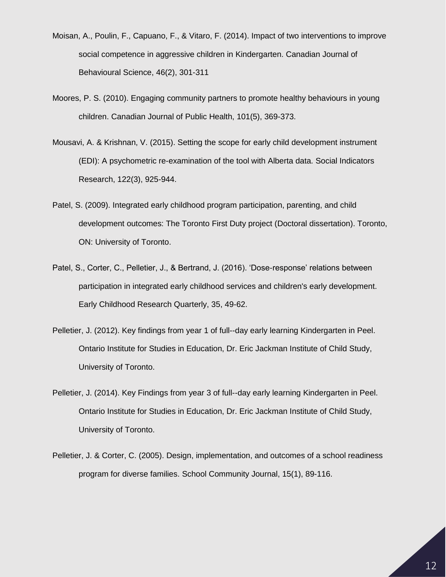- Moisan, A., Poulin, F., Capuano, F., & Vitaro, F. (2014). Impact of two interventions to improve social competence in aggressive children in Kindergarten. Canadian Journal of Behavioural Science, 46(2), 301-311
- Moores, P. S. (2010). Engaging community partners to promote healthy behaviours in young children. Canadian Journal of Public Health, 101(5), 369-373.
- Mousavi, A. & Krishnan, V. (2015). Setting the scope for early child development instrument (EDI): A psychometric re-examination of the tool with Alberta data. Social Indicators Research, 122(3), 925-944.
- Patel, S. (2009). Integrated early childhood program participation, parenting, and child development outcomes: The Toronto First Duty project (Doctoral dissertation). Toronto, ON: University of Toronto.
- Patel, S., Corter, C., Pelletier, J., & Bertrand, J. (2016). 'Dose-response' relations between participation in integrated early childhood services and children's early development. Early Childhood Research Quarterly, 35, 49-62.
- Pelletier, J. (2012). Key findings from year 1 of full--day early learning Kindergarten in Peel. Ontario Institute for Studies in Education, Dr. Eric Jackman Institute of Child Study, University of Toronto.
- Pelletier, J. (2014). Key Findings from year 3 of full--day early learning Kindergarten in Peel. Ontario Institute for Studies in Education, Dr. Eric Jackman Institute of Child Study, University of Toronto.
- Pelletier, J. & Corter, C. (2005). Design, implementation, and outcomes of a school readiness program for diverse families. School Community Journal, 15(1), 89-116.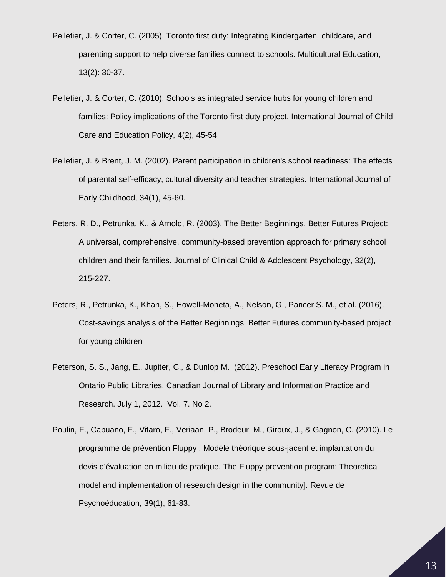- Pelletier, J. & Corter, C. (2005). Toronto first duty: Integrating Kindergarten, childcare, and parenting support to help diverse families connect to schools. Multicultural Education, 13(2): 30-37.
- Pelletier, J. & Corter, C. (2010). Schools as integrated service hubs for young children and families: Policy implications of the Toronto first duty project. International Journal of Child Care and Education Policy, 4(2), 45-54
- Pelletier, J. & Brent, J. M. (2002). Parent participation in children's school readiness: The effects of parental self-efficacy, cultural diversity and teacher strategies. International Journal of Early Childhood, 34(1), 45-60.
- Peters, R. D., Petrunka, K., & Arnold, R. (2003). The Better Beginnings, Better Futures Project: A universal, comprehensive, community-based prevention approach for primary school children and their families. Journal of Clinical Child & Adolescent Psychology, 32(2), 215-227.
- Peters, R., Petrunka, K., Khan, S., Howell-Moneta, A., Nelson, G., Pancer S. M., et al. (2016). Cost-savings analysis of the Better Beginnings, Better Futures community-based project for young children
- Peterson, S. S., Jang, E., Jupiter, C., & Dunlop M. (2012). Preschool Early Literacy Program in Ontario Public Libraries. Canadian Journal of Library and Information Practice and Research. July 1, 2012. Vol. 7. No 2.
- Poulin, F., Capuano, F., Vitaro, F., Veriaan, P., Brodeur, M., Giroux, J., & Gagnon, C. (2010). Le programme de prévention Fluppy : Modèle théorique sous-jacent et implantation du devis d'évaluation en milieu de pratique. The Fluppy prevention program: Theoretical model and implementation of research design in the community]. Revue de Psychoéducation, 39(1), 61-83.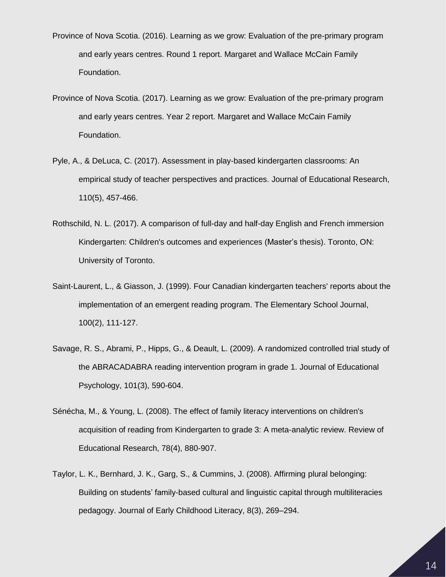- Province of Nova Scotia. (2016). Learning as we grow: Evaluation of the pre-primary program and early years centres. Round 1 report. Margaret and Wallace McCain Family Foundation.
- Province of Nova Scotia. (2017). Learning as we grow: Evaluation of the pre-primary program and early years centres. Year 2 report. Margaret and Wallace McCain Family Foundation.
- Pyle, A., & DeLuca, C. (2017). Assessment in play-based kindergarten classrooms: An empirical study of teacher perspectives and practices. Journal of Educational Research, 110(5), 457-466.
- Rothschild, N. L. (2017). A comparison of full-day and half-day English and French immersion Kindergarten: Children's outcomes and experiences (Master's thesis). Toronto, ON: University of Toronto.
- Saint-Laurent, L., & Giasson, J. (1999). Four Canadian kindergarten teachers' reports about the implementation of an emergent reading program. The Elementary School Journal, 100(2), 111-127.
- Savage, R. S., Abrami, P., Hipps, G., & Deault, L. (2009). A randomized controlled trial study of the ABRACADABRA reading intervention program in grade 1. Journal of Educational Psychology, 101(3), 590-604.
- Sénécha, M., & Young, L. (2008). The effect of family literacy interventions on children's acquisition of reading from Kindergarten to grade 3: A meta-analytic review. Review of Educational Research, 78(4), 880-907.
- Taylor, L. K., Bernhard, J. K., Garg, S., & Cummins, J. (2008). Affirming plural belonging: Building on students' family-based cultural and linguistic capital through multiliteracies pedagogy. Journal of Early Childhood Literacy, 8(3), 269–294.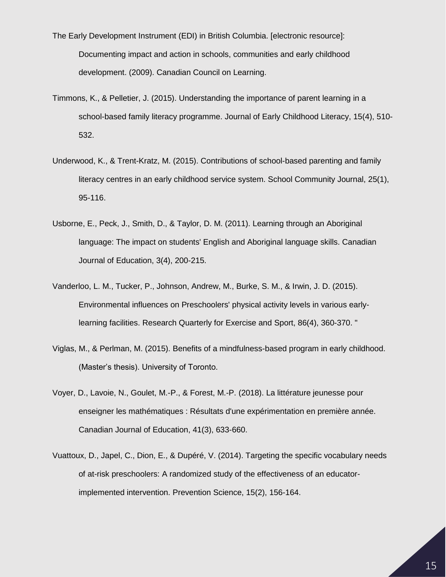The Early Development Instrument (EDI) in British Columbia. [electronic resource]: Documenting impact and action in schools, communities and early childhood development. (2009). Canadian Council on Learning.

- Timmons, K., & Pelletier, J. (2015). Understanding the importance of parent learning in a school-based family literacy programme. Journal of Early Childhood Literacy, 15(4), 510- 532.
- Underwood, K., & Trent-Kratz, M. (2015). Contributions of school-based parenting and family literacy centres in an early childhood service system. School Community Journal, 25(1), 95-116.
- Usborne, E., Peck, J., Smith, D., & Taylor, D. M. (2011). Learning through an Aboriginal language: The impact on students' English and Aboriginal language skills. Canadian Journal of Education, 3(4), 200-215.
- Vanderloo, L. M., Tucker, P., Johnson, Andrew, M., Burke, S. M., & Irwin, J. D. (2015). Environmental influences on Preschoolers' physical activity levels in various earlylearning facilities. Research Quarterly for Exercise and Sport, 86(4), 360-370. "
- Viglas, M., & Perlman, M. (2015). Benefits of a mindfulness-based program in early childhood. (Master's thesis). University of Toronto.
- Voyer, D., Lavoie, N., Goulet, M.-P., & Forest, M.-P. (2018). La littérature jeunesse pour enseigner les mathématiques : Résultats d'une expérimentation en première année. Canadian Journal of Education, 41(3), 633-660.
- Vuattoux, D., Japel, C., Dion, E., & Dupéré, V. (2014). Targeting the specific vocabulary needs of at-risk preschoolers: A randomized study of the effectiveness of an educatorimplemented intervention. Prevention Science, 15(2), 156-164.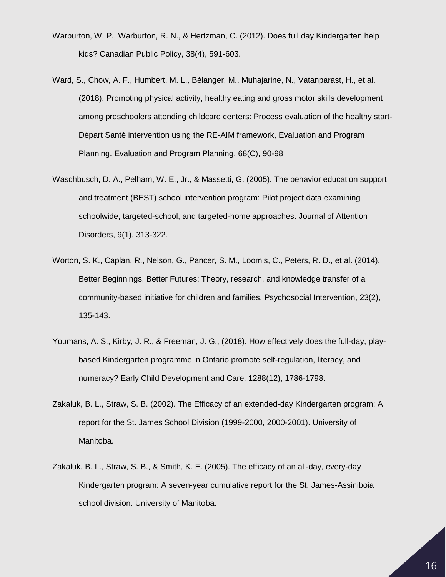- Warburton, W. P., Warburton, R. N., & Hertzman, C. (2012). Does full day Kindergarten help kids? Canadian Public Policy, 38(4), 591-603.
- Ward, S., Chow, A. F., Humbert, M. L., Bélanger, M., Muhajarine, N., Vatanparast, H., et al. (2018). Promoting physical activity, healthy eating and gross motor skills development among preschoolers attending childcare centers: Process evaluation of the healthy start-Départ Santé intervention using the RE-AIM framework, Evaluation and Program Planning. Evaluation and Program Planning, 68(C), 90-98
- Waschbusch, D. A., Pelham, W. E., Jr., & Massetti, G. (2005). The behavior education support and treatment (BEST) school intervention program: Pilot project data examining schoolwide, targeted-school, and targeted-home approaches. Journal of Attention Disorders, 9(1), 313-322.
- Worton, S. K., Caplan, R., Nelson, G., Pancer, S. M., Loomis, C., Peters, R. D., et al. (2014). Better Beginnings, Better Futures: Theory, research, and knowledge transfer of a community-based initiative for children and families. Psychosocial Intervention, 23(2), 135-143.
- Youmans, A. S., Kirby, J. R., & Freeman, J. G., (2018). How effectively does the full-day, playbased Kindergarten programme in Ontario promote self-regulation, literacy, and numeracy? Early Child Development and Care, 1288(12), 1786-1798.
- Zakaluk, B. L., Straw, S. B. (2002). The Efficacy of an extended-day Kindergarten program: A report for the St. James School Division (1999-2000, 2000-2001). University of Manitoba.
- Zakaluk, B. L., Straw, S. B., & Smith, K. E. (2005). The efficacy of an all-day, every-day Kindergarten program: A seven-year cumulative report for the St. James-Assiniboia school division. University of Manitoba.